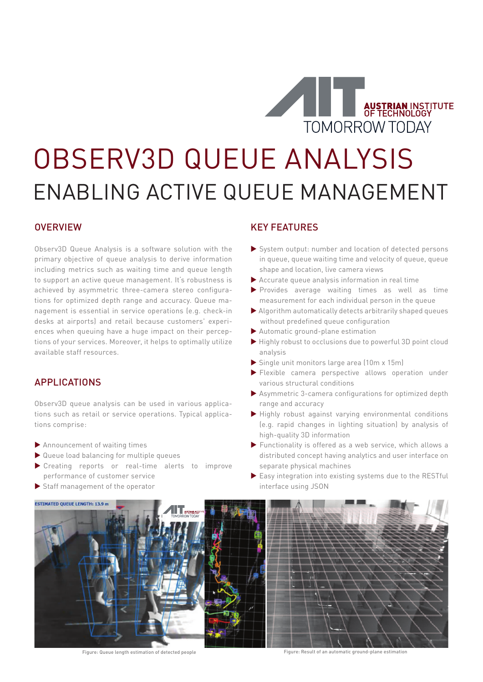

# OBSERV3D QUEUE ANALYSIS ENABLING ACTIVE QUEUE MANAGEMENT

### **OVERVIEW**

Observ3D Queue Analysis is a software solution with the primary objective of queue analysis to derive information including metrics such as waiting time and queue length to support an active queue management. It's robustness is achieved by asymmetric three-camera stereo configurations for optimized depth range and accuracy. Queue management is essential in service operations (e.g. check-in desks at airports) and retail because customers' experiences when queuing have a huge impact on their perceptions of your services. Moreover, it helps to optimally utilize available staff resources.

#### APPLICATIONS

Observ3D queue analysis can be used in various applications such as retail or service operations. Typical applications comprise:

- Announcement of waiting times
- Queue load balancing for multiple queues
- Creating reports or real-time alerts to improve performance of customer service
- Staff management of the operator

### KEY FEATURES

- System output: number and location of detected persons in queue, queue waiting time and velocity of queue, queue shape and location, live camera views
- Accurate queue analysis information in real time
- Provides average waiting times as well as time measurement for each individual person in the queue
- Algorithm automatically detects arbitrarily shaped queues without predefined queue configuration
- Automatic ground-plane estimation
- Highly robust to occlusions due to powerful 3D point cloud analysis
- Single unit monitors large area (10m x 15m)
- Flexible camera perspective allows operation under various structural conditions
- Asymmetric 3-camera configurations for optimized depth range and accuracy
- $\blacktriangleright$  Highly robust against varying environmental conditions (e.g. rapid changes in lighting situation) by analysis of high-quality 3D information
- Functionality is offered as a web service, which allows a distributed concept having analytics and user interface on separate physical machines
- Easy integration into existing systems due to the RESTful interface using JSON



Figure: Queue length estimation of detected people Figure: Result of an automatic ground-plane estimation